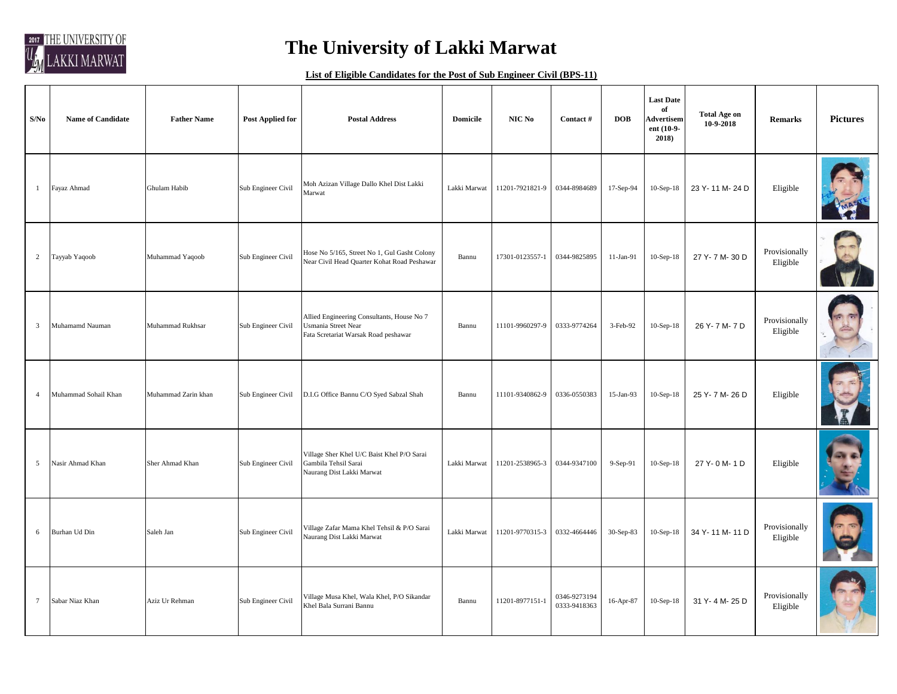

## **The University of Lakki Marwat**

## **List of Eligible Candidates for the Post of Sub Engineer Civil (BPS-11)**

| S/No           | <b>Name of Candidate</b> | <b>Father Name</b>  | <b>Post Applied for</b> | <b>Postal Address</b>                                                                                            | <b>Domicile</b> | NIC No          | Contact #                    | <b>DOB</b> | <b>Last Date</b><br>of<br><b>Advertisem</b><br>ent (10-9-<br>$2018$ ) | <b>Total Age on</b><br>10-9-2018 | <b>Remarks</b>            | <b>Pictures</b> |
|----------------|--------------------------|---------------------|-------------------------|------------------------------------------------------------------------------------------------------------------|-----------------|-----------------|------------------------------|------------|-----------------------------------------------------------------------|----------------------------------|---------------------------|-----------------|
| 1              | Fayaz Ahmad              | Ghulam Habib        | Sub Engineer Civil      | Moh Azizan Village Dallo Khel Dist Lakki<br>Marwat                                                               | Lakki Marwat    | 11201-7921821-9 | 0344-8984689                 | 17-Sep-94  | $10-Sep-18$                                                           | 23 Y-11 M-24 D                   | Eligible                  |                 |
| $\overline{2}$ | Tayyab Yaqoob            | Muhammad Yaqoob     | Sub Engineer Civil      | Hose No 5/165, Street No 1, Gul Gasht Colony<br>Near Civil Head Quarter Kohat Road Peshawar                      | Bannu           | 17301-0123557-1 | 0344-9825895                 | 11-Jan-91  | $10-Sep-18$                                                           | 27 Y-7 M-30 D                    | Provisionally<br>Eligible |                 |
| $\overline{3}$ | Muhamamd Nauman          | Muhammad Rukhsar    | Sub Engineer Civil      | Allied Engineering Consultants, House No 7<br><b>Usmania Street Near</b><br>Fata Scretariat Warsak Road peshawar | Bannu           | 11101-9960297-9 | 0333-9774264                 | 3-Feb-92   | $10-Sep-18$                                                           | 26 Y-7M-7D                       | Provisionally<br>Eligible |                 |
| $\overline{4}$ | Muhammad Sohail Khan     | Muhammad Zarin khan | Sub Engineer Civil      | D.I.G Office Bannu C/O Syed Sabzal Shah                                                                          | Bannu           | 11101-9340862-9 | 0336-0550383                 | 15-Jan-93  | $10-Sep-18$                                                           | 25 Y-7 M-26 D                    | Eligible                  |                 |
| 5              | Nasir Ahmad Khan         | Sher Ahmad Khan     | Sub Engineer Civil      | Village Sher Khel U/C Baist Khel P/O Sarai<br>Gambila Tehsil Sarai<br>Naurang Dist Lakki Marwat                  | Lakki Marwat    | 11201-2538965-3 | 0344-9347100                 | 9-Sep-91   | 10-Sep-18                                                             | 27 Y- 0 M- 1 D                   | Eligible                  |                 |
| 6              | Burhan Ud Din            | Saleh Jan           | Sub Engineer Civil      | Village Zafar Mama Khel Tehsil & P/O Sarai<br>Naurang Dist Lakki Marwat                                          | Lakki Marwat    | 11201-9770315-3 | 0332-4664446                 | 30-Sep-83  | $10-Sep-18$                                                           | 34 Y-11 M-11 D                   | Provisionally<br>Eligible |                 |
| $\overline{7}$ | Sabar Niaz Khan          | Aziz Ur Rehman      | Sub Engineer Civil      | Village Musa Khel, Wala Khel, P/O Sikandar<br>Khel Bala Surrani Bannu                                            | Bannu           | 11201-8977151-1 | 0346-9273194<br>0333-9418363 | 16-Apr-87  | $10-Sep-18$                                                           | 31 Y-4 M-25 D                    | Provisionally<br>Eligible |                 |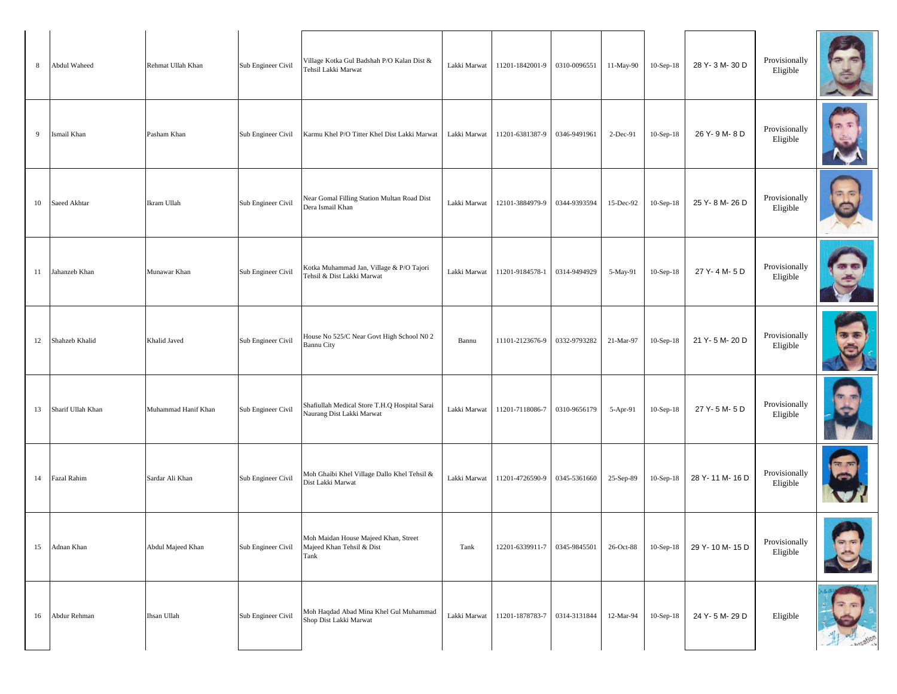| 8  | Abdul Waheed      | Rehmat Ullah Khan   | Sub Engineer Civil | Village Kotka Gul Badshah P/O Kalan Dist &<br>Tehsil Lakki Marwat          | Lakki Marwat | 11201-1842001-9              | 0310-0096551 | 11-May-90 | $10-Sep-18$ | 28 Y-3 M-30 D  | Provisionally<br>Eligible |            |
|----|-------------------|---------------------|--------------------|----------------------------------------------------------------------------|--------------|------------------------------|--------------|-----------|-------------|----------------|---------------------------|------------|
| 9  | Ismail Khan       | Pasham Khan         | Sub Engineer Civil | Karmu Khel P/O Titter Khel Dist Lakki Marwat                               | Lakki Marwat | 11201-6381387-9              | 0346-9491961 | 2-Dec-91  | 10-Sep-18   | 26 Y-9 M-8 D   | Provisionally<br>Eligible |            |
| 10 | Saeed Akhtar      | Ikram Ullah         | Sub Engineer Civil | Near Gomal Filling Station Multan Road Dist<br>Dera Ismail Khan            | Lakki Marwat | 12101-3884979-9              | 0344-9393594 | 15-Dec-92 | $10-Sep-18$ | 25 Y-8 M-26 D  | Provisionally<br>Eligible | ন ভি       |
| 11 | Jahanzeb Khan     | Munawar Khan        | Sub Engineer Civil | Kotka Muhammad Jan, Village & P/O Tajori<br>Tehsil & Dist Lakki Marwat     | Lakki Marwat | 11201-9184578-1              | 0314-9494929 | 5-May-91  | $10-Sep-18$ | 27 Y-4 M-5 D   | Provisionally<br>Eligible |            |
| 12 | Shahzeb Khalid    | Khalid Javed        | Sub Engineer Civil | House No 525/C Near Govt High School N0 2<br><b>Bannu City</b>             | Bannu        | 11101-2123676-9              | 0332-9793282 | 21-Mar-97 | $10-Sep-18$ | 21 Y-5 M-20 D  | Provisionally<br>Eligible |            |
| 13 | Sharif Ullah Khan | Muhammad Hanif Khan | Sub Engineer Civil | Shafiullah Medical Store T.H.Q Hospital Sarai<br>Naurang Dist Lakki Marwat | Lakki Marwat | 11201-7118086-7              | 0310-9656179 | 5-Apr-91  | $10-Sep-18$ | 27 Y-5 M-5 D   | Provisionally<br>Eligible |            |
| 14 | Fazal Rahim       | Sardar Ali Khan     | Sub Engineer Civil | Moh Ghaibi Khel Village Dallo Khel Tehsil &<br>Dist Lakki Marwat           | Lakki Marwat | 11201-4726590-9              | 0345-5361660 | 25-Sep-89 | $10-Sep-18$ | 28 Y-11 M-16 D | Provisionally<br>Eligible |            |
| 15 | Adnan Khan        | Abdul Majeed Khan   | Sub Engineer Civil | Moh Maidan House Majeed Khan, Street<br>Majeed Khan Tehsil & Dist<br>Tank  | Tank         | 12201-6339911-7              | 0345-9845501 | 26-Oct-88 | $10-Sep-18$ | 29 Y-10 M-15 D | Provisionally<br>Eligible | $\sqrt{2}$ |
| 16 | Abdur Rehman      | Ihsan Ullah         | Sub Engineer Civil | Moh Haqdad Abad Mina Khel Gul Muhammad<br>Shop Dist Lakki Marwat           |              | Lakki Marwat 11201-1878783-7 | 0314-3131844 | 12-Mar-94 | $10-Sep-18$ | 24 Y-5 M-29 D  | Eligible                  |            |